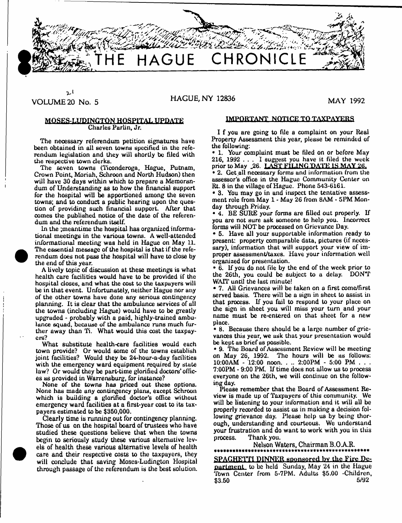

ارد

## **VOLUME 20 No. 5** HAGUE, NY 12836 MAY 1992

#### MOSES-LUDINGTON HOSPITAL UPDATE Charles Purlin, Jr.

**The necessary referendum petition signatures have been obtained in all seven towns specified in the referendum legislation and they will shortly be hied with the respective town clerks.**

The seven towns (Ticonderoga, Hague, Putnam, Crown Point, Moriah, Schroon and North Hudson) then will have 30 days within which to prepare a Memorandum of Understanding as to how the financial support for the hospital will be apportioned among the seven towns; and to conduct a public hearing upon the question of providing such financial support. After that comes the published notice of the date of the referendum and the referendum itself.

In the ;meantime the hospital has organized informational meetings in the various towns. A well-attended informational meeting was held in Hague on May 11. The essential message of the hospital is that if the referendum does not pass the hospital will have to dose by the end of this year.

A lively topic of discussion at these meetings is what health care facilities would have to be provided if the hospital closes, and what the cost to the taxpayers will be in that event. Unfortunately, neither Hague nor any of the other towns have done any serious contingency planning. It is clear that the ambulance services of all the towns (induding Hague) would huve to be greatly upgraded - probably with a paid, highly-trained ambulance squad, because of the ambulance runs much further away than Ti. W hat would this coat the taxpayers?

What substitute health-care facilities would each town provide? Or would some of the towns establish joint facilities? Would they be 24-hour-a-day facilities with the emergency ward equipment required by state law? Or would they be part-time glorified doctors' offices as provided in Warrensburg, for instance?

None of the towns has priced out these options. None has made any contingency plans, except Schroon which is building a glorified doctor's office without emergency ward facilities at a first-year cost to its taxpayers estim ated to be \$350,000.

**Clearly time is running out for contingency planning. Those of us on the hospital board of trustees who have studied these questions believe that when the towns begin to seriously study these various alternative levels of health these various alternative levels of health care and their respective costs to the taxpayers, they will conclude that saving Moses-Ludington Hospital through passage of the referendum is the best solution.**

#### IMPORTANT NOTICE TQ TAXPAYERS

I f you are going to file a complaint on your Real Property Assessment this year, please be reminded of the following:

• 1. Your complaint must be filed on or before May 216, 1992 . . . I suggest you have it filed the week prior to May 26. LAST FILING DATE IS MAY 26. • 2. Get all necessary forms and information from the assessor's office in the Hague Community Center on Rt. 8 in the village of Hague. Phone 543-6161.

• 3. You may go in and inspect the tentative assessment role from May 1 - May 26 from 8AM - 5PM Monday through Friday.

• 4. BE SURE your forms are filled out properly. If you are not sure ask someone to help you. Incorrect forms will NOT be processed on Grievance Day.

• 5. Have all your supportable information ready to present: property comparable data, pictures (if necessary), information that will support your view of im proper assessment/taxes. Have your information well organized for presentation.

• 6. If you do not file by the end of the week prior to the 26th, you could be subject to a delay. DON'T WATT until the last minute!

• 7. All Grievances will be taken on a first come/first served basis. There will be a sign in sheet to assist in that process. If you fail to respond to your pluce on the sign in sheet you will miss your turn and your name must be re-entered on that sheet for a new place.

• 8. Because there should be a large number of grievances this year, we ask that your presentation would be kept as brief us possible.

• 9. The Board of Assessment Review will be meeting on May 26, 1992. The hours will be as follows: 10:00AM - 12:00 noon. . .. 2:00PM - 5:00 PM . . . 7:00PM - 9:00 PM. If time does not allow us to process everyone on the 26th, we will continue on the following day.

Please remember that the Board of Assessment Review is made up of Taxpayers of this community. We will be listening to your information and it will all be properly recorded to assist us in making a decision following grievance day. Please help us by being thorough, understanding and courteous. We understand your frustration and do want to work with you in tliis process. Thank you.

Nelson Waters, Chairman B.O AR. **\*\*\*\*\*\*\*\*\*\*\*\*\*\*\*\*\*\*\*\*\*\*\*\* \*\*\*\*\*\*\*\*\*\*\*\*\*\*\*\***

**SPAGHETTI DINNER sponsored by the Fire De**partment to be held Sunday, May 24 in the Hague \*ibwn Center from 5-7PM. Adults \$5.00 -Children,  $$3.50$  5/92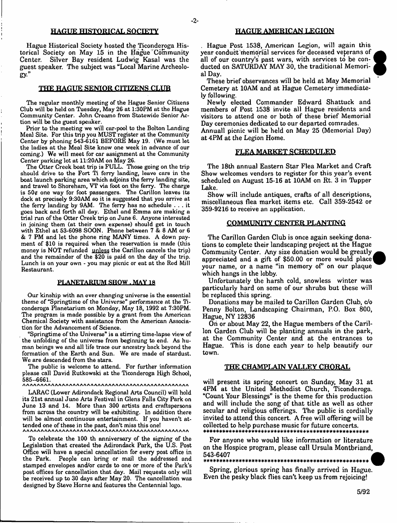#### **HAGUE HISTORICAL SOCIETY**

Hague Historical Society hosted the Ticonderoga Historical Society on May 15 in the Hague Community<br>Center. Silver Bay resident Ludwig Kasal was the Silver Bay resident Ludwig Kasal was the guest speaker. The subject was "Local Marine Archeolo**gy."**

#### **THE HAGUE SENIOR CITIZENS CLUB**

The regular monthly meeting of the Hague Senior Citizens Club will be held on Tuesday, May 26 at 1:30PM at the Hague Community Center. John Creamo from Statewide Senior Action will be the guest speaker.

Prior to the meeting we will car-pool to the Bolton Landing Meal Site. For this trip you MUST register at the Community Center by phoning 543-6161 BEFORE May 19. (We must let the ladies at the Meal Site know one week in advance of our coming.) We will meet for car assignment at the Community Center parking lot at 11:20AM on May 26.

The Otter Creek boat trip is FULL. Those going on the trip should drive to the Fort Ti ferry landing, leave cars in the boat launch parking area which adjoins the ferry landing site, and travel to Shoreham, VT via loot on the ferry. The charge is  $50¢$  one way for foot passengers. The Carillon leaves its dock at precisely 9:30AM so it is suggested that you arrive at the ferry landing by 9AM. The ferry has no schedule . . . it goes back and forth all day. Ethel and Emma are making a trial run of the Otter Creek trip on June 6. Anyone interested in joining them (at their own expense) should get in touch with Ethel at 53-6098 SOON. Phone between 7 & 8 AM or 6 & 7 PM and let the phone ring MANY times. A down payment of \$10 is required when the reservation is made (this money is NOT refunded unless the Carillon cancels the trip) and the remainder of the \$20 is paid on the day of the trip. Lunch is on your own - you may picnic or eat at the Red Mill Restaurant.

#### PLANETARIUM SHOW . MAY 18

Our kinship with an ever changing universe is the essential theme of "Springtime of the Universe" performance at the Ticonderoga Planetarium on Monday, May 18, 1992 at 7:30PM. The program is made possible by a grant from the American Chemical Society with assistance from the American Association for the Advancement of Science.

"Springtime of the Universe" is a stirring time-lapse view of the unfolding of the universe from beginning to end. As human beings we and all life trace our ancestry back beyond the formation of the Earth and Sun. We are made of stardust. We are descended from the stars.

The public is welcome to attend. For further information please call David Rutkowski at the Ticonderoga High School, 585-6661.

LARAC (Lower Adirondack Regional Arts Council) will hold its 21st annual June Arts Festival in Glens Falls City Park on June 13 and 14. More than 300 artists and craftspersons from across the country will be exhibiting. In addition there will be almost continuous entertainment. If you haven't attended one of these in the past, don't miss this one!

To celebrate the 100 th anniversary of the signing of the Legislation that created the Adirondack Park, the U.S. Post Office will have a special cancellation for every post office in the Park. People can bring or mail the addressed and stamped envelopes and/or cards to one or more of the Park's post offices for cancellation that day. Mail requests only will be received up to 30 days after May 20. The cancellation was designed by Steve Horne and features the Centennial logo.

#### **HAGUE AMERICAN LEGION**

. Hague Post 1538, American Legion, will again this year conduct'memorial services for deceased veterans of all of our country's past wars, with services to be conducted on SATURDAY MAY 30, the traditional Memorial Day.

These brief observances will be held at May Memorial Cemetery at 10AM and at Hague Cemetery immediately following.

Newly elected Commander Edward Shattuck and members of Post 1538 invite all Hague residents and visitors to attend one or both of these brief Memorial Day ceremonies dedicated to our departed comrades.

Annuall picnic will be held on May 25 (Memorial Day) at 4PM at the Legion Home.

#### **FLEA MARKET SCHEDULED**

The 18th annual Eastern Star Flea Market and Craft Show welcomes vendors to register for this year's event scheduled on August 15-16 at 10AM on Rt. 3 in Tupper Lake.

Show will include antiques, crafts of all descriptions, miscellaneous flea market items etc. Call 359-2542 or 359-9216 to receive an application.

#### **COMMUNITY CENTER PLANTING**

The Carillon Garden Club is once again seeking donations to complete their landscaping project at the Hague Community Center. Any size donation would be greatly appreciated and a gift of \$50.00 or more would place your name, or a name "in memory of" on our plaque which hangs in the lobby.

Unfortunately the harsh cold, snowless winter was particularly hard on some of our shrubs but these will be replaced this spring.

Donations may be mailed to Carillon Garden Club, c/o Penny Bolton, Landscaping Chairman, P.O. Box 800, Hague, NY 12836

On or about May 22, the Hague members of the Carillon Garden Club will be planting annuals in the park, at the Community Center and at the entrances to Hague. This is done each year to help beautify our town.

#### **THE CHAMPLAIN VALLEY CHORAL**

will present its spring concert on Sunday, May 31 at 4PM at the United Methodist Church, Ticonderoga. "Count Your Blessings" is the theme for this production and will include the song of that title as well as other secular and religious offerings. The public is cordially invited to attend this concert. A free will offering will be collected to help purchase music for future concerts. **\*\*\*\*\*\*\*\*\*\*\*\*\*\*\*\*\*\*\*\*\*\*\*\*\*\*\*\*\*\*\*+\*\*\*\*\*\*\*\*\*\*\*\*\*\*\*\*\*\*\***

For anyone who would like information or literature on the Hospice program, please call Ursula Montbriand,<br>543-6407 543-6407 *<sup>a</sup>* \* \* \* \* \* \* \* \* \* \* \* \* \* \* \* \* \* \* \* \* \* \* \* \* \* \* \* \* \* \* \* \* \* \* \* I\*\*\* \* \* \* \* \* \* \* \* \* \* \* \* \* ^

Spring, glorious spring has finally arrived in Hague. Even the pesky black flies can't keep us from rejoicing!



-2-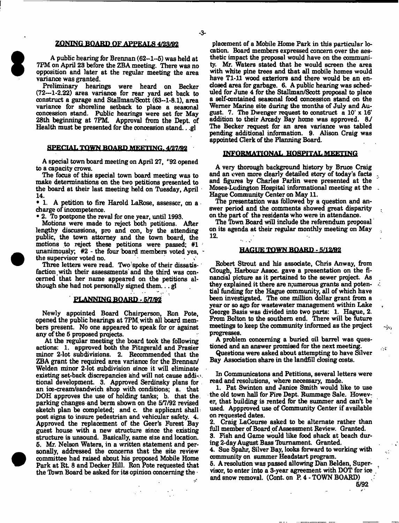#### **ZONING BOARD OF APPEALS 4/23/92**

**A public hearing for Brennan (62-1-5) was held at 7PM on April 23 before the ZBA meeting. There was no opposition and later at the regular meeting the area variance was granted.**

**Preliminary hearings were heard on Becker (72-1-2.22) area variance for rear yard set back to construct a garage and Stallman/Scott (63-1-8.1), area variance for shoreline setback to place a seasonal concession stand. Public hearings were set for May 28th beginning at 7PM. Approval from the Dept of Health must be presented for the concession stand.. .gl**

#### **SPECIAL TOWN BOARD MEETING 4/27/B2**

**A special town board meeting on April 27, \*'92 opened to a capacity crows.**

**The focus of this special town board meeting was to make determinations on the two petitions presented to the board at their last meeting held on Tuesday, April 14.**

**• 1. A petition to fire Harold LaRose, assessor, on a charge of incompetence.**

**• 2. To postpone the reval for one year, until 1993.**

**Motions were made to reject both petitions. After lengthy discussions, pro and con, by the attending public, the town attorney and the town board, the motions to reject these petitions were passed; #1 unanimously; #2 - the four board members voted yes,**  the supervisor voted no.

**Three letters were read. Two'spoke of their dissatisfaction with their assessments'and the third was concerned that her name appeared on the petitions although she had not personally signed them.,. gl**

## **PLANNING BOARD - 5ft/»2**

**Newly appointed Board Chairperson, Ron Pote, opened the public hearings at 7PM. with all board members present. No one appeared to speak for or against any of the 5 proposed projects.**

**At the regular meeting the board took the following actions: 1. approved both the Fitzgerald and Frasier minor 2-lot subdivisions. 2. Recommended that the ZBA grant the required area variance for the Brennan/ Welden minor 2-lot subdivision since it will eliminate existing set-back discrepancies and will not cause addi-1 tional development. 3. Approved Serdinsky plans for an ice-cream/sandwich shop with conditions; a. that DOH approves the use of holding tanks; b. that the. parking changes and berm shown on the 5/7/92 revised sketch plan be completed; and c. the applicant shallpost signs to insure pedestrian and vehicular safety. 4. Approved the replacement of the Geer's Forest Bay guest house with a new structure since the existing structure is unsound. Basically, same size and location. 5. Mr. Nelson Waters, in a written statement and personally, addressed the concerns that the site review committee had raised about his proposed Mobile Home** Park at Rt. 8 and Decker Hill. Ron Pote requested that **the Tbwn Board be asked for its opinion concerning the •**

**placement of a Mobile Home Park in this particular location. Board members expressed concern over the aesthetic impact the proposal would have on the community. Mr. Waters stated that he would screen the area with white pine trees and that all mobile homes would have Tl-11 wood exteriors and there would be an enclosed area for garbage. 6. A public hearing was scheduled for June 4 for the Stallman/Scott proposal to place a self-contained seasonal food concession stand on the Wemer Marine site during the months of July and August. 7. The Dwenger request to construct a 10' x 16' addition to their Arcady Bay home was approved. 8***J* **The Becker request for an area variance was tabled pending additional information. 9. Alison Craig was appointed Clerk of the Planning Board.**

#### **INFORMATIONAL HOSPITAL MEETING**

**A very thorough background history by Bruce Craig and an even more clearly detailed story of today's facts and figures fay Charles Parlin were presented at the Moses-Ludington Hospital informational meeting at the Hague Community Center on May 11.**

**The presentation was followed by a question and answer period and the comments showed great disparity on the part of the residents who were in attendance.**

**The Tbwn Board will include the referendum proposal on its agenda at their regular monthly meeting on May i2.**

#### **HAGUE TOWN BOARD - 5/12/92**

**Robert Strout and his associate, Chris Anway, from Gough, Harbour Assoc, gave a presentation on the financial picture as it pertained to the sewer project. As they explained it there are n;umerous grants and potential funding for the Hague community, all of which have been investigated. The one million dollar grant from a year or so ago for wastewater management within Lake George Basis was divided into two parts: 1. Hague, 2. From Bolton to the southern end. There will be future meetings to keep the community informed as the prqject progresses.**

**A problem concerning a buried oil barrel was questioned and an answer promised for the next meeting.**

**Questions were asked about attempting to have Silver Bay Association share in the landfill closing costs.**

**In Communicatons and Petitions, several letters were read and resolutions, where necessary, made.**

**1. Pat Swinton and Janice Smith would like to use the old town hall for Fire Dept. Rummage Sale. However, that building is rented for the summer and can't be used. Appproved use of Community Center if available on requested dates.**

**2. Craig LaCouree asked to be alternate rather than full member of Board of Assessment Review. Granted.**

**3. Fish and Game would like food shack at beach during 2-day August Bass Tbumament. Granted.**

**4. Sue Spahr, Silver Bay, looks forward to working with community on summer Heads tart program.**

**5. A resolution was passed allowing Dan Belden, Supervisor, to enter into a 3-year agreement with DOT for ice and snow removal. (Cont. on P. 4 - TOWN BOARD)**

**5/92**

Ź.

٠į٧,

 $\sim 10$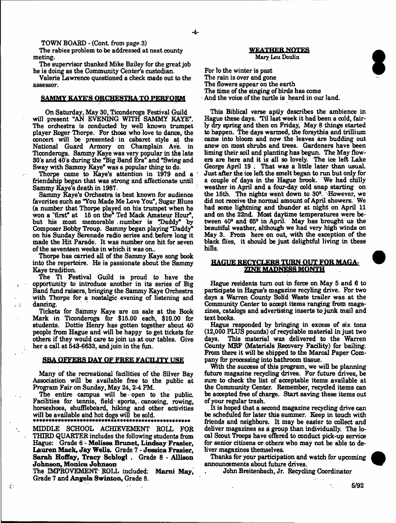**TOWN BOARD - (Cont. from page 3)** 

**The rabies problem to be addressed at next county meting.**

**The supervisor thanked Mike Bailey for the great job he is doing as the Community Center's custodian.**

**Valerie Lawrence questioned a check made out to the assessor.**

#### **SAMMY KAYE'S ORCHESTRA TO PERFORM**

**On Saturday, May 30, Ticonderoga Festival Guild will present "AN EVENING WITH SAMMY KAYE". The orchestra is conducted by well known trumpet player Roger Thorpe. For those who love to dance, the concert will be presented- in cabaret style at the National Guard Armory on Champlain Aye. in Ticonderoga. Sammy Kaye was very popular in the late 30's and 40's during the "Big Band Era" and "Swing and** Sway with Sammy Kaye" was a popular thing to do.

**Thorpe came to Kaye's attention in 1979 and a friendship began that was strong and affectionate until Sammy Kaye's death in 1987.**

**Sammy Kaye's Orchestra is best known for audience favorites such as "You Made Me Love You", Sugar Blues (a number that Thorpe played on his trumpet when he won a "first" at 15 on the\* Ted Mack Amateur Hour", but bis most memorable number is "Daddy" by Composer Bobby Troup. Sammy began playing "Daddy\* on his Sunday Serenade radio series and. before long it made the Hit Parade. It was number one hit for seven of the seventeen weeks in which it was on..**

**Thorpe has carried all of the Sammy Kaye song book into the repertoire. He is passionate about the Sammy Kaye tradition.**

**The Ti Festival Guild is proud to have the opportunity to introduce another in its series of Big Band fund raisers, bringing the Sammy Kaye Orchestra with Thorpe for a nostalgic evening of listening and dancing.**

.<br>..

 $\Sigma$  :

**Tickets for Sammy Kaye are on sale at the Book Mark in Ticonderoga for \$15.00 each, \$10.00 for students. Dottie Henry has gotten together about 40 people from Hague and will be happy to get tickets for others if they would care to join us at our tables. Give her a call at 543-6633, and join in the firn.**

#### **SBA OFFERS DAY OF FREE FACILITY USE**

**Many of the recreational facilities of the Silver Bay Association will be available free to the public at Program Fair on Sunday, May 24,2-4 PM.**

The entire campus will be open to the public. Facilities for tennis, field sports, canoeing, rowing, **horseshoeB, shuffleboard, hiking and other activities** will be available and hot dogs will be sold.

**MIDDLE SCHOOL ACHIEVEMENT ROLL FOR THIRD QUARTER includes the following students from Hague: Grade 6 - M elissa Brunet, Lindsay Frasier, Lauren Mack, Jay Wells. Grade 7 - Jessica Frasier,** Sarah Hoffay, Tracy Schlogl . Grade 8 - Allison **Johnson, Monica Johnson**

**The IMPROVEMENT- ROLL included: Marai May, Grade 7 and Angela Swinton, Grade 8.**

#### **WEATHER NOTES Mary Lou Doulin**

**For lo the winter is past The rain is over and gone The flowers appear on the earth The time of the singing of birds has come And the voice of the turtle is heard in our land.**

**This Biblical verse aptly describes the ambience in Hague these days. "Til last week it had been a cold, fairly dry spring and then on Friday, May 8 things started to happen. The days warmed, the forsythia and trillium came into bloom and now the leaves are budding out anew on most shrubs and trees. Gardeners have been liming their soil and planting has begun. The May flowers are here and it is all so lovely. The ice left Lake George April 19 . That was a little later than usual Just after the ice left the smelt began to run but only for a couple of days in the Hague brook. We had chilly weather in April and a four-day cold snap starting on the 15th. The nights went down to 30°. -However, we did not receive the normal amount of April showers. We had some lightning and thunder at night on April 11 and on the 22nd. Most daytime temperatures were between 40\* and 65\* in April. May has brought us the beautiful weather, although we had very high winds on May 3. From here on out, with the exception of the black flies, it should be just delightful living in these hills.**

## **HAGUE RECYCLERS TURN OUT FOR MAGA-ZINE MADNES&MQNTH**

**Hague residents turn out in force on May 5 and 6 to participate in Hague's magazine recybng drive. For two days a Warren County Solid Waste trailer was at the Community Center to accept items ranging from magazines, catalogs and advertising inserts to junk mail and text books.**

**Hague responded by bringing in excess of six tons (12,000 PLUS pounds) of recyclable material in just two day8. This material was delivered to the Warren County MRF (Materials Recovery Facility) for bailing. From there it will be shipped to the Marcal Paper Company for processing into bathroom tissue.**

**With the success of this program, we will be planning future magazine recycling drives. For future drives, be sure to check the list of acceptable items available at the Community Center. Remember, recycled items can be accepted free of charge. Start saving these items out of your regular trash.**

**. It is hoped that a second magazine recycling drive can be scheduled for later this summer. Keep in touch with friends and neighbors. It may be easier to collect and deliver magazines as a group than individually. The local Scout Troops have offered to conduct pick-up service for senior citizens or others who may not be able to deliver magazines themselves.**

**Thanks for your participation and watch for upcoming announcements about future drives.**

**John Breitenbach, Jr. Recycling Coordinator**

6/92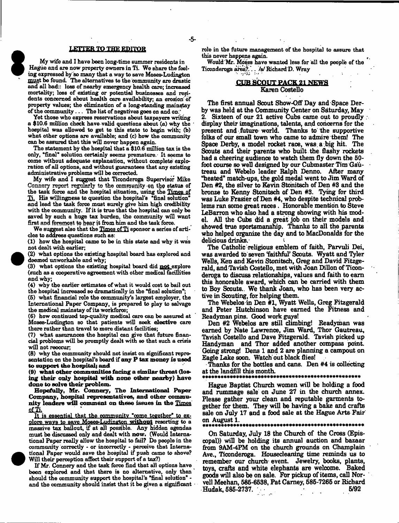#### **LETTER TO THE EDITOR**

-5-

My wife and I have been long-time summer residents in Hague and are now property owners in Ti. We share the feeling expressed by bo many that a way to save Moses-Ludington must be found. The alternatives to the community are drastic and all bad:: loss of nearby emergency health care; increased mortality; loss of existing or potential businesses and residents concerned about health care availability; an erosion of property values; the elimination of a long-standing mainstay of the community. . . The list of negatives goes on and on.;'

Yet those who express reservations about taxpayers writing a \$10.6 million check have valid questions about (a) why the hospital was allowed to get to this state to begin with; (b) what other options are available; and (c) how the community can be assured that this will never happen again.

The statement by the hospital that a \$10.6 million tax is the only, 'final\* solution certainly seems premature.- It seems to come without adequate explanation, without complete exploration of all options, and without guarantees that any existing administrative problems will be corrected.

My wife and I suggest that Ticonderoga Supervisor Mike Connery report regularly to the community oa the status of the task force and the hospital situation, using the Times of Ti. His willingness to question the hospital's "final solution0 and lead the task force must surely give him high credibility with the community. If it is true that the hospital can only be saved by such a huge tax burden, the community will want first and foremost to hear it from him and the task force.

We suggest also that the Times of Ti sponsor a series of articles to address questions such as:

(1) how the hospital came to be in this state and why it was not dealt with earlier;

(2) what options the existing hospital board has explored and deemed unworkable and why;

(3) what options the existing hospital board did not explore (such as a cooperative agreement with other medical facillities and why;

(4) why the earlier estimates of what it would cost to bail out the hospital increased so dramatically in the "final solution";

(5) what financial role the community's largest employer, the International Paper Company, is prepared to play to salvage the medical mainstay of its workforce;

(6) how continued top-quality medical care can be assured at Moses-Ludington so that patients will seek **elective** care there rather than travel to more distant facilities;

(7) what assurances the hospital can give that future financial problems will be promptly dealt with so that such a crisis will not reoccur;

(8) why the community should not insist on significant representation on the hospital's board if **any P tax money is need to support die hospital} and**

**(9) what other communities facing a similar threat (losing their only hospital with none other nearby) have done to solve their problem.**

**Hopefully, Mr. Cannery, The International Paper Company, hospital representatives, and other community leaders will comment on these issues in the** Times ofTi.

It is essential that the community "come together" to explore wavs to save Moses-Ludington **without** resorting to a massive tax bailout, if at all possible. Any hidden agendas must be discussed only and dealt with **now.** (Would International Paper really allow the hospital to fail? Do people in the community correctly - or incorrectly - perceive that International Paper would save the hospital if push came to shove? Will their perception affect their support of a tax?)

If Mr. Connery and the task force find that all options have been explored and that there is no alternative, only then should the community support the hospital's "final solution" and the community should insist that it be given a significant role in the future management of the hospital to assure that this never happens again.

Would 'Mr. Moses have wanted less for all the people of the Ticonderoga area?.". . /a/ Richard **D.** Wray

# **CUB SCOUT PACK 21 NEWS**

## **Karen Costello**

**The first annual Scout Show-Qff Day and Space Derby was held at the Community Center on Saturday, May 2. Sixteen of our 21 active Cubs came out to proudly display their imaginations, talents, and concerns for the present and future world. Thanks to the supportive folks of our small town who came to admire them! The Space Derby, a model rocket race, was. a .big hit. The Scouts and their parents who built the flashy rockets had a cheering audience to watch them fly down the 50 foot course so well designed by our Cubmaster Tim Gautreau and Webelo leader Ralph Denno. After many "heated" match-ups, the gold medal went to Jim Ward of Den #2, the silver to Kevin Stonitsch of Den #3 and the bronze to Kenny Stonitsch of Den #3. Tying for third was Luke Frasier of Den #4, who despite technical problems ran some great races. Honorable mention to Steve LeBarron who also had a strong showing with his model. All the Cubs did a great job on their models and showed true sportsmanship. Thanks to all the parents who helped organize the day and to MacDonalds for the** delicious drinks.<sup>.</sup>

**The Catholic religious emblem of faith, Parvuli Dei, was awarded to seven faithful' Scouts. Wyatt and Tyler Wells, Ken and Kevin Stonitsch, Greg and David Fitzgerald, and Tavish Costello, met with Joan Dillon of Ticonderoga to discuss relationships, values and faith to earn this honorable award, which can be carried with them to Boy Scouts.. We thank Joan, who has been very active in Scouting, for helping them.**

**The Webelos in Den #1, Wyatt Wells, Greg Fitzgerald and Peter Hutchinson have earned the Fitness and Readyman pins. Good work guys!**

**Den #2 Webelos are still climbing! Readyman was earned by Nate Lawrence, Jim Ward, Thor Gautreau, Tavish Costello and Dave Fitzgerald. Tavish picked up Handyman and Thor added another compass point. Going strong! Dens 1 and 2 are planning a campout on Ragle Lake soon. Watch out black flies!**

**Thanks for the bottles and cans. Den #4 is collecting at the landfill this month.**

#### \* \* \* \* \* \* \* \* \* \* \* \* \* \* \* \* \* \* \* \* \* \* \* \* \* \* \* \* \* \* \* \* \* \* \* \* \* \* \* \* \* \* \* \* \* \* \* \* \* \* \*

**Hague Baptist Church women will be holding a food and rummage Bale on June 27 in the church annex. Please gather your dean and reputable garments together for them. They will be having a bake and crafts** Bale **on July 17 and a food sale at the Hague Arts Fair on August 1.**

#### \* \* \* \* \* \* \* \* \* \* \* \* \* \* \* \* \* \* \* \* \* \* \* \* \* \* \* \* \* \* \* \* \* \* \* \* \* \* \* \* \* \* \* \* \* \* \* \* \* \* \* \*

**On Saturday, July 18 the Church of the Cross (Episcopal)) will be holding its annual auction and bazaar from 9AM-4PM on the church grounds on Champlain Ave., Ticonderoga. Housecleaning time reminds us to remember our church event. Jewelry, books, plants, toys, crafts and white elephants are welcome. Baked goods will also be on sale. For pickup of items, call Norvell Meehan, 586-6538, Pat Carney, 585-7265 or Richard Hudak, 585-2737.** 

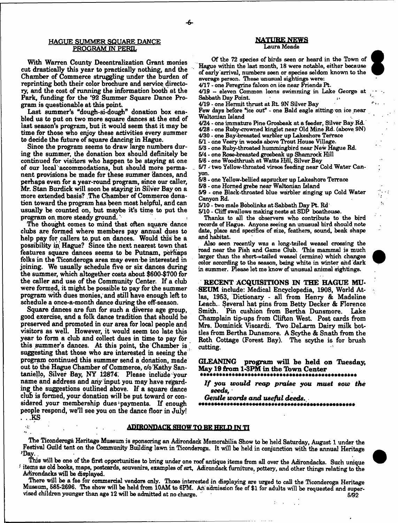#### HAGUE SUMMER SQUARE DANCE **PROGRAM IN PERIL**

**With Warren County Decentralization Grant monies cut drastically this year to practically nothing, and the Chamber of Commerce struggling under the burden of reprinting both their color brochure and service directory, and the cost of running the information booth at the Park, funding for the \*92 Summer Square Dance Program is questionable at this point.**

**Last summer's "dough-si-dough" donation box enabled us to put on two more square dances at the end of last season's program, but it would seem that it may be time for those who enjoy these activities every summer to decide the future of square dancing in Hague.**

**Since the program seems to draw large numbers during the summer, the donation box should definitely be continued for visitors who happen to be staying at one of our local' accommodations, hut should more permanent provisions be made for these summer dances, and perhaps even for a year-round program, since our caller,** Mr. Stan Burdick will soon be staying in Silver Bay on a **more extended basis? The Chamber of Commerce donation toward the program has been most helpful, and can usually be counted on, but maybe it's time to put the program on. more steady ground.'**

**The thought comes to mind that often square dance clubs are formed where members pay annual dues to help pay for callers to. put on dances. Would this be a possibility in; Hague? Since the next nearest town that features square dances seems to be Putnam, perhaps folks in the Ticonderoga area may even be interested in joining. We usually schedule five or six dances during the summer, which altogether costs about \$600-\$700 for the caller and use of the Community Center. If a club were formed, it might be possible to pay for the summer program with dues monies, and still have enough left to schedule a once-a-month dance during the off-season.**

**Square dances are fun for such a diverse age group, good exercise, and a folk dance tradition that should be preserved and promoted in our area for local people and visitors as well. However, it would seem too late this year to form a club and collect dues in time to pay for this summer's dances. At this point, the Chamber is suggesting that those who are interested in seeing the program continued this summer send a donation, made out to the Hague Chamber of Commerce, c/o Kathy Santaniello, Silver Bay, NY i2874. Please include your name and address and any input you may have regarding the suggestions outlined above. If a square dance cluB is formed, your donation will be put toward or con**sidered your membership dues payments. If enough **people respond, we'll see you on the dance floor in July! . . .KS**

#### NATURE NEKS Laura Meade

Of the 72 species of birds seen or heard in the Town of Hague within the last month, 18 were notable, either because of early arrival, numbers seen or species seldom known to the average person. These unusual sightings were:

4/17 - one Peregrine falcon on ice near Friends Pt.

4/19 - eleven Common loons swimming in Lake George at  $S$ abbath Day Point.

4/19 - one Hermit thrust at Rt. 9N Silver Bay

Few days before "ice out" - one Bald eagle sitting on ice near Waltonian Island

4/24 - one immature Pine Grosbeak at a feeder, Silver Bay Rd.

4/28 - one Ruby-crowned kinglet near Old Mine Rd. (above 9N)

4/30 - one Bay-breasted warbler up Lakeshore Terrace

6/1 - one Veery in woods above Trout House Village.

5/3 - one Ruby-throated hummingbird near New Hague Rd.

6/4 - one Rose-breasted grosbeak up Shamrock Hill

6/6 - one Woodthrush at Watts Hill, Silver Bay

6/7 - two Yellow-throated vireoe feeding near Cold Water Canyon.

6/8 - one Yellow-bellied sapsucker up Lakeshore Terrace

6/8 - one Homed grebe near Waltonian Island

5/9 - one Black-throated blue warbler singing up Cold Water Canyon Rd.

5/10 - two male Bobolinks at Sabbath Day Pt. Rd

5/10 - Cliff swallows making nests at SDP boathouse.

Thanks to all the observers who contribute to the bird records of Hague. Anyone seeing an unusual bird should note date, place and specifics of size, feathers, sound, beak shape and habitat.

Also seen recently was a long-tailed weasel crossing the road near the Fish and Game Club. This mammal is much larger than the short-=tailed weasel (ermine) which changes color according to the season, being white in winter and dark in summer. Please let me know of unusual animal sightings.

**RECENT ACQUISITIONS IN THE HAGUE MU-SEUM include: Medical Encyclopedia, 1908, World At**las, 1953, Dictionary - all from Henry & Madeline **Leach.. Several hat pins from Betty Decker & Florence Smith. Pin cushion from Bertha Dunsmore. Lake Champlain tip-ups from Clifton West. Post cards from Mrs. Dominick Viscardi. Two DeLarm Dairy milk bottleB from Bertha Dunsmore. A Scythe & Snath from the Both Cottage (Forest Bay). The scythe is for brush cutting.**

GLEANING program will be held on Tuesday, **May 19 from 1-3PM in the Town C enter**

*I f you w ould reap* praise *you m ust sow the*

*seeds*,•

*Gentle words and useful deeds.*



**ADIRONDACK SHOW TO BK HELD TN TI**

**The Ticonderoga Heritage Museum is sponsoring an Adirondack Memorabilia Show to be held Saturday, August 1 under the Festival Guild tent on the Community Building lawn in Ticonderoga. It will be held in conjunction with the annual Heritage ^Day..**

This will be one of the first opportunities to bring under one roof antique items from all over the Adirondacks. Such unique **■ items as old books, maps, postcards, souvenirs, examples of art, Adirondack furniture, pottery, and other things relating to the Adirondacks will be displayed.**

**There will be a fee for commercial vendors only. Those interested in displaying are urged to call the Ticonderoga Heritage Museum, 585-2696. The show will be held from 10AM to 6PM. An admission fee of \$1 for adults will be requested and supervised children younger than age 12 will be admitted at no charge.** 5/92

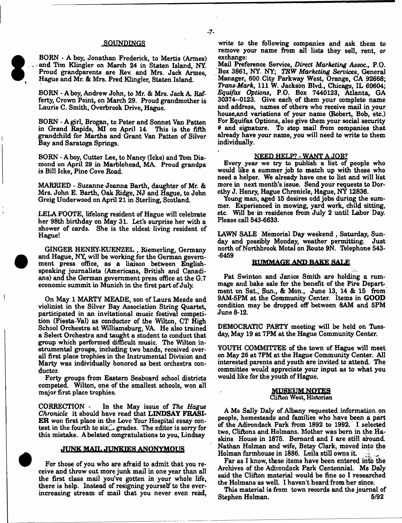#### SOUNDINGS

**BORN - A boy, Jonathan Frederick, to Mertis (Armes) ": and Tim Klingler on March 24 in Staten Island, NY. Proud grandparents are Rev. and Mrs. Jack Armes, Hague and Mr. & Mrs. Fred Klingler, Staten Island.**

**BORN - A boy, Andrew John, to Mr. & Mrs. Jack A Rafferty, Crown Point, on March 29. Proud grandmother is Laurie C. Smith, Overbrook Drive, Hague.**

**BORN - A girl, Brogan, to Peter and Sonnet Van Patten in Grand Rapids, MI on April 14. This is the fifth grandchild for Martha and Grant Van Patten of Silver Bay and Saratoga Springs.**

**BORN - A boy, Cutter Lee, to Nancy (Icke) and Tom Diamond on April 29 in Marblehead, MA Proud grandpa is Bill Icke, Pine Cove Road.**

**MARRIED - Suzanne Joanna Barth, daughter of Mr. & Mrs. John E. Barth, Oak Ridge, NJ and Hague, to John Greig Underwood on April 21 in Sterling, Scotland.**

**LELA FOOTE, lifelong resident of Hague will celebrate her 98th birthday on May 31. Let's surprise her with a shower of cards. She is the oldest living resident of Hague!**

**GINGER HENHY-KUENZEL , Riemerling, Germany and Hague, NY, will be working for the German government press office, as a liaison between Englishspeaking journalists (Americans, British and Canadians) and the German government press office at the G.7 economic summit in Munich in the first part of July.**

**On May 1 MARTY MEADE, son of Laura Meade and violinist in the Silver Bay Association String Quartet, participated in an invitational music festival competition (Fiesta-Val) as conductor of the Wilton, CT High School Orchestra at Williamsburg, VA He also trained a Select Orchestra and taught a student to conduct that group which performed difficult music. The Wilton instrumental groups, including two bands, received overall first place trophies in the Instrumental Division and Marty was individually honored as best orchestra conductor.**

**Forty groups from Eastern Seaboard school districts competed. Wilton, one of the smallest schools, won all major first place trophies.**

**CORRECTION - In the May issue of** *The Hague Chronicle* **it should have read that LINDSAY FRASI-ER won first place in the Love Your Hospital essay con**test in the fourth to six<sub>G</sub> grades. The editor is sorry for **this mistake. A belated congratulations to you, Lindsay**

#### JUNK MAIL JUNKIES ANONYMOUS

**For those of you who are afraid to admit that you receive and throw out more junk mail in one year than all the first class mail you've gotten in your whole life, there is help. Instead of resigning yourself to the everincreasing stream of mail that you never even read,**

**write to the following companies and ask them to remove your name from all lists they sell, rent, or exchange:**

**Mail Preference Service, Direct** *Marketing Assoc.,* **P.O. Box 3861, NY. NY;** *TRW Marketing Services***, General Manager, 600 City Parkway West, Orange, CA 92668;** *Trans-Mark,* **111 W. Jackson Blvd., Chicago, IL 60604;** *Equifax Options***, P.O. Box 7440123, Atlanta, GA 30374-0123, Give each of them your complete name and address, names of others who receive mail in your house,and variations of your name (Robert, Bob, etc.) For Equifax Options, also give them your social security # and signature. To stop mail from companies that already have your name, you will need to write to them individually.**

#### **NEED HELP? - WANT A JOB?**

**Every year we try to publish a list of people who would like a summer job to match up with those who need a helper. We already have one to list and will list more in next month's issue. Send your requests to Dorothy J. Henry, Hague Chronicle, Hague, NY 12836.**

**Young man, aged 15 desires odd jobs during the summer. Experienced in mowing, yard work, child sitting, etc. Will be in residence from July 2 until Labor Day. Please call 543-6633.**

**LAWN SALE Memorial Day weekend , Saturday, Sunday and possibly Monday, weather permitting. Just north of Northbrook Motel on Route 9N. Telephone 543- -6459**

#### RUMMAGE AND BAKE SALE

**Pat Swinton and Janice Smith are holding a rummage and bake sale for the benefit of the Fire Department on Sat., Sun., & Mon., June 13, 14 & 15 from 9AM-6PM at the Community Center. Items in GOOD condition may be dropped off between SAM and 5PM June 8-12.**

**DEMOCRATIC PARTY meeting will be held on Tuesday, May 19 at 7PM at the Hague Community Center.**

**YOUTH COMMITTEE of the town of Hague will meet on May 26 at 7PM at the Hague Community Center. All interested parents and youth are invited to attend The committee would appreciate your input as to what you would like for the youth of Hague.**

#### MUgEUMNQIES Clifton West, Historian

**A Ms Sally Daly of Albany requested information on people, homesteads and families who have been a part of the Adirondack Park from 1892 to 1992. I selected two, Cliftons and Holmans. Mother was born in the Haskins House in 1875. Bernard and I are still around. Nathan Holman and wife, Betsy Clark, moved into the** Holman farmhouse in 1886. Leila still owns it.

Far as I know, these items have been entered into the **Archives of the Adirondack Park Centennial. Ms Daly said the Clifton material would be fine so I researched the Holmans as well. I haven't heard from her since.**

**This material is from town records and the journal of Stephen Holman. 5/92**